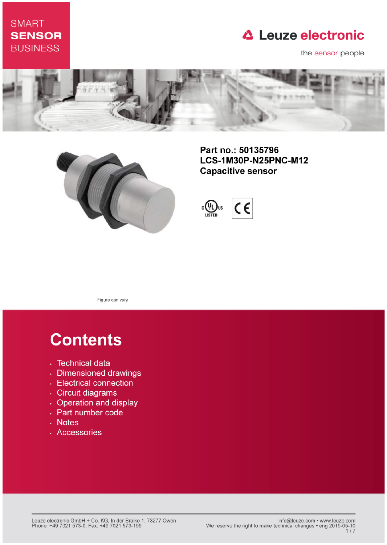## **SMART SENSOR BUSINESS**

## **△ Leuze electronic**

the sensor people





Part no.: 50135796 LCS-1M30P-N25PNC-M12 **Capacitive sensor** 



Figure can vary

# **Contents**

- · Technical data
- · Dimensioned drawings
- Electrical connection
- · Circuit diagrams
- Operation and display
- Part number code
- Notes
- · Accessories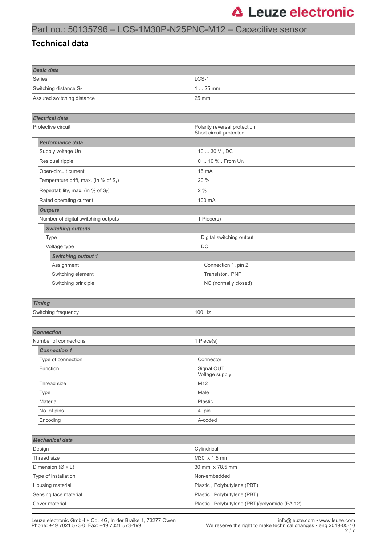### Part no.: 50135796 – LCS-1M30P-N25PNC-M12 – Capacitive sensor

### **Technical data**

| <b>Basic data</b>                    |                                                         |  |  |
|--------------------------------------|---------------------------------------------------------|--|--|
| Series                               | LCS-1                                                   |  |  |
| Switching distance $S_n$<br>$125$ mm |                                                         |  |  |
| Assured switching distance           | 25 mm                                                   |  |  |
|                                      |                                                         |  |  |
| <b>Electrical data</b>               |                                                         |  |  |
| Protective circuit                   | Polarity reversal protection<br>Short circuit protected |  |  |
| <b>Performance data</b>              |                                                         |  |  |
| Supply voltage U <sub>B</sub>        | 10  30 V, DC                                            |  |  |
| Residual ripple                      | 0  10 %, From U <sub>B</sub>                            |  |  |
| Open-circuit current                 | 15 mA                                                   |  |  |
| Temperature drift, max. (in % of Sr) | 20 %                                                    |  |  |
| Repeatability, max. (in % of Sr)     | 2%                                                      |  |  |
| Rated operating current              | 100 mA                                                  |  |  |
| <b>Outputs</b>                       |                                                         |  |  |
| Number of digital switching outputs  | 1 Piece(s)                                              |  |  |
| <b>Switching outputs</b>             |                                                         |  |  |
| <b>Type</b>                          | Digital switching output                                |  |  |
| Voltage type                         | DC                                                      |  |  |
| <b>Switching output 1</b>            |                                                         |  |  |
| Assignment                           | Connection 1, pin 2                                     |  |  |
| Switching element                    | Transistor, PNP                                         |  |  |
| Switching principle                  | NC (normally closed)                                    |  |  |
|                                      |                                                         |  |  |
| <b>Timing</b>                        |                                                         |  |  |
| Switching frequency                  | 100 Hz                                                  |  |  |
|                                      |                                                         |  |  |
| <b>Connection</b>                    |                                                         |  |  |
| Number of connections                | 1 Piece(s)                                              |  |  |
| <b>Connection 1</b>                  |                                                         |  |  |
| Type of connection                   | Connector                                               |  |  |
| Function                             | Signal OUT<br>Voltage supply                            |  |  |
| Thread size                          | M12                                                     |  |  |
| Type                                 | Male                                                    |  |  |
| Material                             | Plastic                                                 |  |  |
| No. of pins                          | 4-pin                                                   |  |  |
| Encoding                             | A-coded                                                 |  |  |
|                                      |                                                         |  |  |
| <b>Mechanical data</b>               |                                                         |  |  |
| Design                               | Cylindrical                                             |  |  |
| Thread size                          | M30 x 1.5 mm                                            |  |  |
| Dimension (Ø x L)                    | 30 mm x 78.5 mm                                         |  |  |
| Type of installation                 | Non-embedded                                            |  |  |
| Housing material                     | Plastic, Polybutylene (PBT)                             |  |  |
| Sensing face material                | Plastic, Polybutylene (PBT)                             |  |  |
| Cover material                       | Plastic, Polybutylene (PBT)/polyamide (PA 12)           |  |  |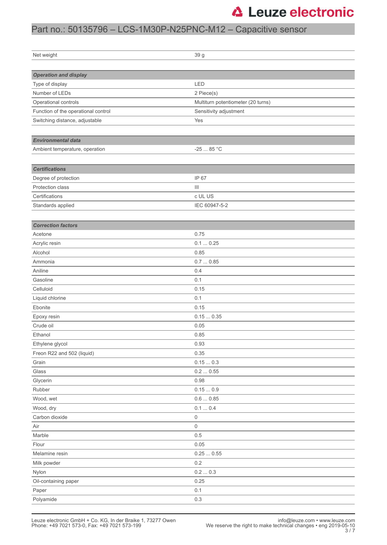## **△ Leuze electronic**

## Part no.: 50135796 – LCS-1M30P-N25PNC-M12 – Capacitive sensor

| Net weight                          | 39 g                               |  |
|-------------------------------------|------------------------------------|--|
|                                     |                                    |  |
| <b>Operation and display</b>        |                                    |  |
| Type of display                     | LED                                |  |
| Number of LEDs                      | 2 Piece(s)                         |  |
| Operational controls                | Multiturn potentiometer (20 turns) |  |
| Function of the operational control | Sensitivity adjustment             |  |
| Switching distance, adjustable      | Yes                                |  |
|                                     |                                    |  |
| <b>Environmental data</b>           |                                    |  |
| Ambient temperature, operation      | -25 $\dots$ 85 °C                  |  |
|                                     |                                    |  |
| <b>Certifications</b>               |                                    |  |
| Degree of protection                | IP 67                              |  |
| Protection class                    | $\  \, \ $                         |  |
| Certifications                      | c UL US                            |  |
| Standards applied                   | IEC 60947-5-2                      |  |
|                                     |                                    |  |
| <b>Correction factors</b>           |                                    |  |
| Acetone                             | 0.75                               |  |
| Acrylic resin                       | 0.10.25                            |  |
| Alcohol                             | 0.85                               |  |
| Ammonia                             | 0.70.85                            |  |
| Aniline                             | 0.4                                |  |
| Gasoline                            | 0.1                                |  |
| Celluloid                           | 0.15                               |  |
| Liquid chlorine                     | 0.1                                |  |
| Ebonite                             | 0.15                               |  |
| Epoxy resin                         | 0.150.35                           |  |
| Crude oil                           | 0.05                               |  |
| Ethanol                             | 0.85                               |  |
| Ethylene glycol                     | 0.93                               |  |
| Freon R22 and 502 (liquid)          | 0.35                               |  |
| Grain                               | $0.15\,\ldots\,0.3$                |  |
| Glass                               | $0.2\,\ldots\,0.55$                |  |
| Glycerin                            | 0.98                               |  |
| Rubber                              | 0.150.9                            |  |
| Wood, wet                           | $0.6\,\ldots\,0.85$                |  |
| Wood, dry                           | 0.1  0.4                           |  |
| Carbon dioxide                      | 0                                  |  |
| Air                                 | 0                                  |  |
| Marble                              | 0.5                                |  |
| Flour                               | 0.05                               |  |
| Melamine resin                      | 0.250.55                           |  |
| Milk powder                         | 0.2                                |  |
| Nylon                               | $0.2\,\ldots\,0.3$                 |  |
| Oil-containing paper                | 0.25                               |  |
| Paper                               | 0.1                                |  |
| Polyamide                           | $0.3\,$                            |  |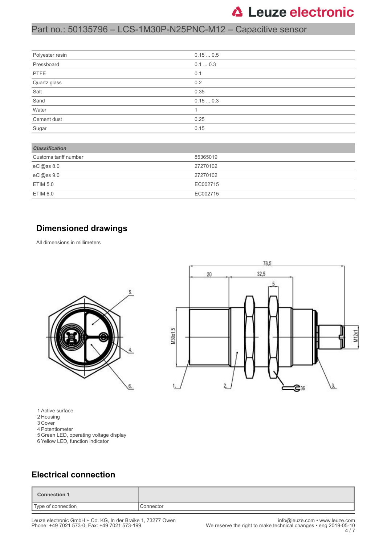## **△ Leuze electronic**

## Part no.: 50135796 – LCS-1M30P-N25PNC-M12 – Capacitive sensor

| Polyester resin | 0.150.5 |
|-----------------|---------|
| Pressboard      | 0.10.3  |
| PTFE            | 0.1     |
| Quartz glass    | 0.2     |
| Salt            | 0.35    |
| Sand            | 0.150.3 |
| Water           |         |
| Cement dust     | 0.25    |
| Sugar           | 0.15    |

| <b>Classification</b> |          |  |
|-----------------------|----------|--|
| Customs tariff number | 85365019 |  |
| eCl@ss 8.0            | 27270102 |  |
| eCl@ss 9.0            | 27270102 |  |
| <b>ETIM 5.0</b>       | EC002715 |  |
| ETIM 6.0              | EC002715 |  |

#### **Dimensioned drawings**

All dimensions in millimeters



1 Active surface

- 2 Housing
- 3 Cover
- 4 Potentiometer
- 5 Green LED, operating voltage display
- 6 Yellow LED, function indicator



### **Electrical connection**

| <b>Connection 1</b> |           |
|---------------------|-----------|
| Type of connection  | Connector |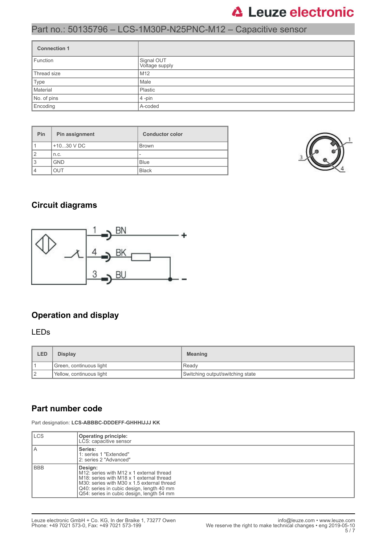## **△ Leuze electronic**

## Part no.: 50135796 – LCS-1M30P-N25PNC-M12 – Capacitive sensor

| <b>Connection 1</b> |                              |  |
|---------------------|------------------------------|--|
| Function            | Signal OUT<br>Voltage supply |  |
| Thread size         | M <sub>12</sub>              |  |
| Type                | Male                         |  |
| Material            | Plastic                      |  |
| No. of pins         | $4$ -pin                     |  |
| Encoding            | A-coded                      |  |

| Pin | Pin assignment | <b>Conductor color</b> |
|-----|----------------|------------------------|
|     | $+1030$ V DC   | <b>Brown</b>           |
|     | n.c.           |                        |
| 3   | <b>GND</b>     | <b>Blue</b>            |
|     | JUT            | <b>Black</b>           |



### **Circuit diagrams**



## **Operation and display**

#### LEDs

| LED | <b>Display</b>           | <b>Meaning</b>                   |
|-----|--------------------------|----------------------------------|
|     | Green, continuous light  | l Readv                          |
| 12  | Yellow, continuous light | Switching output/switching state |

### **Part number code**

Part designation: **LCS-ABBBC-DDDEFF-GHHHIJJJ KK**

| <b>ILCS</b> | Operating principle:<br>LCS: capacitive sensor                                                                                                                                                                                                                   |
|-------------|------------------------------------------------------------------------------------------------------------------------------------------------------------------------------------------------------------------------------------------------------------------|
| ΙA          | Series:<br>1: series 1 "Extended"<br>2: series 2 "Advanced"                                                                                                                                                                                                      |
| l BBB       | Design:<br>M12: series with M12 x 1 external thread<br>M <sub>18</sub> : series with M <sub>18</sub> x 1 external thread<br>M30: series with M30 x 1.5 external thread<br>Q40: series in cubic design, length 40 mm<br>Q54: series in cubic design, length 54 mm |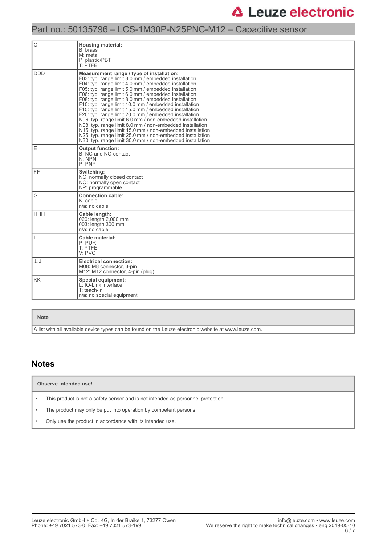## Part no.: 50135796 – LCS-1M30P-N25PNC-M12 – Capacitive sensor

| С          | <b>Housing material:</b><br>B: brass<br>M: metal<br>P: plastic/PBT<br>T: PTFE                                                                                                                                                                                                                                                                                                                                                                                                                                                                                                                                                                                                                                                                                                                                               |  |  |
|------------|-----------------------------------------------------------------------------------------------------------------------------------------------------------------------------------------------------------------------------------------------------------------------------------------------------------------------------------------------------------------------------------------------------------------------------------------------------------------------------------------------------------------------------------------------------------------------------------------------------------------------------------------------------------------------------------------------------------------------------------------------------------------------------------------------------------------------------|--|--|
| <b>DDD</b> | Measurement range / type of installation:<br>F03: typ. range limit 3.0 mm / embedded installation<br>F04: typ. range limit 4.0 mm / embedded installation<br>F05: typ. range limit 5.0 mm / embedded installation<br>F06: typ. range limit 6.0 mm / embedded installation<br>F08: typ. range limit 8.0 mm / embedded installation<br>F10: typ. range limit 10.0 mm / embedded installation<br>F15: typ. range limit 15.0 mm / embedded installation<br>F20: typ. range limit 20.0 mm / embedded installation<br>N06: typ. range limit 6.0 mm / non-embedded installation<br>N08: typ. range limit 8.0 mm / non-embedded installation<br>N15: typ. range limit 15.0 mm / non-embedded installation<br>N25: typ. range limit 25.0 mm / non-embedded installation<br>N30: typ. range limit 30.0 mm / non-embedded installation |  |  |
| E          | <b>Output function:</b><br>B: NC and NO contact<br>N: NPN<br>P:PNP                                                                                                                                                                                                                                                                                                                                                                                                                                                                                                                                                                                                                                                                                                                                                          |  |  |
| FF.        | Switching:<br>NC: normally closed contact<br>NO: normally open contact<br>NP: programmable                                                                                                                                                                                                                                                                                                                                                                                                                                                                                                                                                                                                                                                                                                                                  |  |  |
| G          | <b>Connection cable:</b><br>$K:$ cable<br>$n/a$ : no cable                                                                                                                                                                                                                                                                                                                                                                                                                                                                                                                                                                                                                                                                                                                                                                  |  |  |
| <b>HHH</b> | Cable length:<br>020: length 2,000 mm<br>003: length 300 mm<br>$n/a$ : no cable                                                                                                                                                                                                                                                                                                                                                                                                                                                                                                                                                                                                                                                                                                                                             |  |  |
|            | Cable material:<br>P: PUR<br>T: PTFE<br>V: PVC                                                                                                                                                                                                                                                                                                                                                                                                                                                                                                                                                                                                                                                                                                                                                                              |  |  |
| JJJ        | <b>Electrical connection:</b><br>M08: M8 connector, 3-pin<br>M12: M12 connector, 4-pin (plug)                                                                                                                                                                                                                                                                                                                                                                                                                                                                                                                                                                                                                                                                                                                               |  |  |
| <b>KK</b>  | <b>Special equipment:</b><br>L: IO-Link interface<br>T: teach-in<br>n/a: no special equipment                                                                                                                                                                                                                                                                                                                                                                                                                                                                                                                                                                                                                                                                                                                               |  |  |

#### **Note**

A list with all available device types can be found on the Leuze electronic website at www.leuze.com.

#### **Notes**

**Observe intended use!**

• This product is not a safety sensor and is not intended as personnel protection.

• The product may only be put into operation by competent persons.

• Only use the product in accordance with its intended use.